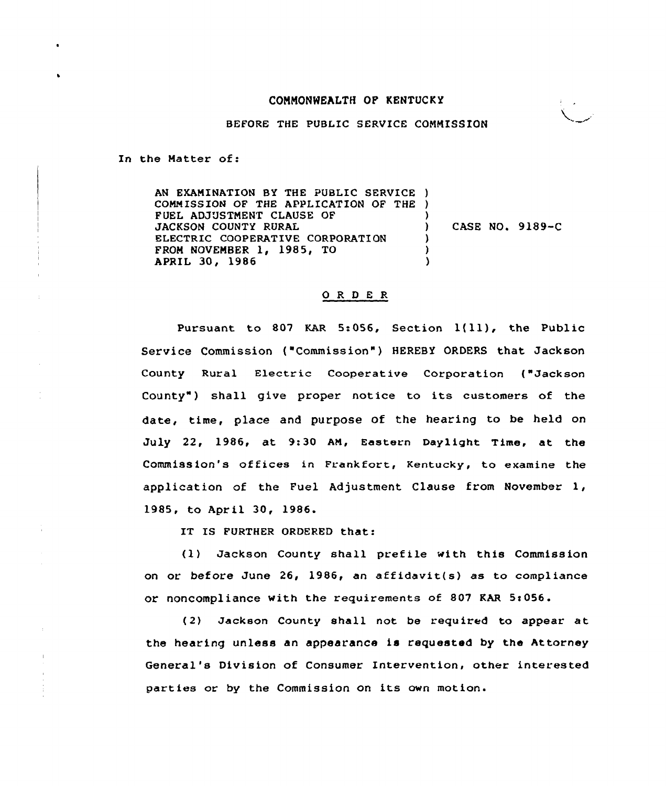## CONNONNEALTH OF KENTUCKY



BEFORE THE PUBLIC SERVICE COMMISSION

In the Matter of:

AN EXAMINATION BY THE PUBLIC SERVICE ) CONN ISSION OF THE APPLICATION OF THE ) FUEL ADJUSTMENT CLAUSE OF JACKSON COUNTY RURAL ELECTRIC COOPERATIVE CORPORATION FROM NOVEMBER 1, 1985, TO APRIL 30, 1986 ) ) CASE NO. 9189-C ) ) )

## 0 R <sup>D</sup> <sup>E</sup> R

Pursuant to <sup>807</sup> KAR 5:056, Section l(ll), the Public Service Commission ("Commission" ) HEREBY ORDERS that Jackson County Rural Electric Cooperative Corporation ("Jackson County") shall give proper notice to its customers of the date, time, place and purpose of the hearing to be held on July 22, 1986, et 9:30 AN, Eastern Daylight Time, at the Commiss ion's of fices in Frankfort, Kentucky, to examine the application of the Fuel Adjustment Clause from November 1, 1985, to April 30, 1986.

IT IS FURTHER ORDERED that:

(1) Jackson County shall prefile with this Commission on or before June 26, 1986, an affidevit(s) as to compliance or noncompliance with the requirements of 807 KAR 5:056.

(2) Jackson County shall not be required to appear et the heating unless an appearance is requested by the Attorney General's Division of Consumer Intervention, other interested parties or by the Commission on its own motion.